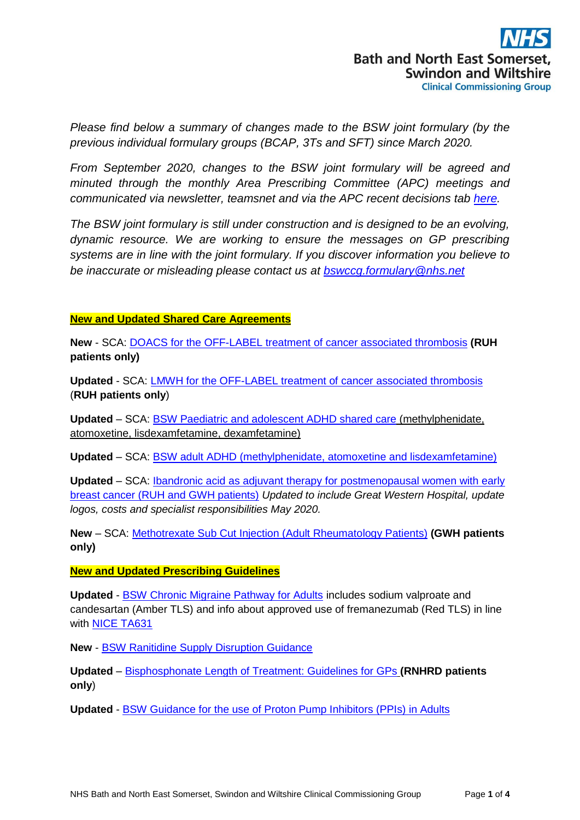*Please find below a summary of changes made to the BSW joint formulary (by the previous individual formulary groups (BCAP, 3Ts and SFT) since March 2020.*

*From September 2020, changes to the BSW joint formulary will be agreed and minuted through the monthly Area Prescribing Committee (APC) meetings and communicated via newsletter, teamsnet and via the APC recent decisions tab [here.](https://prescribing.bswccg.nhs.uk/apc-recent-decisions)* 

*The BSW joint formulary is still under construction and is designed to be an evolving, dynamic resource. We are working to ensure the messages on GP prescribing systems are in line with the joint formulary. If you discover information you believe to be inaccurate or misleading please contact us at [bswccg.formulary@nhs.net](mailto:bswccg.formulary@nhs.net)*

## **New and Updated Shared Care Agreements**

**New** - SCA: [DOACS for the OFF-LABEL treatment of cancer associated thrombosis](https://prescribing.bswccg.nhs.uk/?wpdmdl=7383) **(RUH patients only)**

**Updated** - SCA: [LMWH for the OFF-LABEL treatment of cancer associated thrombosis](https://prescribing.bswccg.nhs.uk/?wpdmdl=7383) (**RUH patients only**)

**Updated** – SCA: [BSW Paediatric and adolescent ADHD shared care](https://prescribing.bswccg.nhs.uk/?wpdmdl=6879) (methylphenidate, atomoxetine, lisdexamfetamine, dexamfetamine)

**Updated** – SCA: [BSW adult ADHD \(methylphenidate, atomoxetine and lisdexamfetamine\)](https://prescribing.bswccg.nhs.uk/?wpdmdl=6736)

**Updated** – SCA: [Ibandronic acid as adjuvant therapy for postmenopausal women with early](https://prescribing.wiltshireccg.nhs.uk/?wpdmdl=1870&UNLID=982883943202052211247)  breast [cancer \(RUH and GWH patients\)](https://prescribing.wiltshireccg.nhs.uk/?wpdmdl=1870&UNLID=982883943202052211247) *Updated to include Great Western Hospital, update logos, costs and specialist responsibilities May 2020.*

**New** – SCA: [Methotrexate Sub Cut Injection \(Adult Rheumatology Patients\)](https://prescribing.bswccg.nhs.uk/?wpdmdl=6721) **(GWH patients only)**

# **New and Updated Prescribing Guidelines**

**Updated** - [BSW Chronic Migraine Pathway for Adults](https://prescribing.bswccg.nhs.uk/?wpdmdl=6400) includes sodium valproate and candesartan (Amber TLS) and info about approved use of fremanezumab (Red TLS) in line with [NICE TA631](http://bswformulary.nhs.uk/chaptersSubDetails.asp?FormularySectionID=4&SubSectionRef=04.07.04.02&SubSectionID=A100#5636)

**New** - [BSW Ranitidine Supply Disruption Guidance](https://prescribing.bswccg.nhs.uk/?wpdmdl=7454)

**Updated** – [Bisphosphonate Length of Treatment: Guidelines for GPs](https://prescribing.bswccg.nhs.uk/?wpdmdl=5773) **(RNHRD patients only**)

**Updated** - [BSW Guidance for the use of Proton Pump Inhibitors \(PPIs\) in Adults](https://prescribing.bswccg.nhs.uk/?wpdmdl=6250)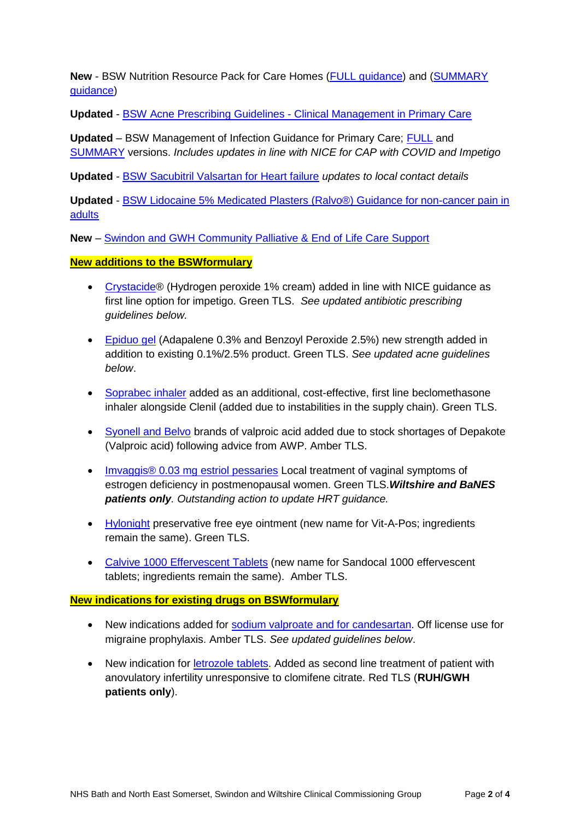**New** - BSW Nutrition Resource Pack for Care Homes [\(FULL guidance\)](https://prescribing.bswccg.nhs.uk/?wpdmdl=7290) and [\(SUMMARY](https://prescribing.bswccg.nhs.uk/?wpdmdl=7292)  [guidance\)](https://prescribing.bswccg.nhs.uk/?wpdmdl=7292)

**Updated** - BSW Acne Prescribing Guidelines - [Clinical Management in Primary Care](https://prescribing.bswccg.nhs.uk/?wpdmdl=6495)

**Updated** – BSW Management of Infection Guidance for Primary Care; [FULL](https://prescribing.wiltshireccg.nhs.uk/?wpdmdl=6045) and [SUMMARY](https://prescribing.wiltshireccg.nhs.uk/?wpdmdl=6043) versions. *Includes updates in line with NICE for CAP with COVID and Impetigo*

**Updated** - [BSW Sacubitril Valsartan for Heart failure](https://prescribing.wiltshireccg.nhs.uk/?wpdmdl=6273) *updates to local contact details*

**Updated** - [BSW Lidocaine 5% Medicated Plasters \(Ralvo®\) Guidance for non-cancer pain in](https://prescribing.bswccg.nhs.uk/?wpdmdl=6370)  [adults](https://prescribing.bswccg.nhs.uk/?wpdmdl=6370)

**New** – [Swindon and GWH Community Palliative & End of Life Care Support](https://prescribing.wiltshireccg.nhs.uk/?wpdmdl=7124)

## **New additions to the BSWformulary**

- [Crystacide®](http://bswformulary.nhs.uk/chaptersSubDetails.asp?FormularySectionID=13&SubSectionRef=13.11.06&SubSectionID=A100&drugmatch=1379#1379) (Hydrogen peroxide 1% cream) added in line with NICE quidance as first line option for impetigo. Green TLS. *See updated antibiotic prescribing guidelines below.*
- [Epiduo gel](http://bswformulary.nhs.uk/chaptersSubDetails.asp?FormularySectionID=13&SubSectionRef=13.06.01&SubSectionID=D100&drugmatch=3290#3290) (Adapalene 0.3% and Benzoyl Peroxide 2.5%) new strength added in addition to existing 0.1%/2.5% product. Green TLS. *See updated acne guidelines below*.
- [Soprabec inhaler](http://bswformulary.nhs.uk/chaptersSubDetails.asp?FormularySectionID=3&SubSectionRef=03.02&SubSectionID=A100&drugmatch=128#128) added as an additional, cost-effective, first line beclomethasone inhaler alongside Clenil (added due to instabilities in the supply chain). Green TLS.
- [Syonell and Belvo](http://bswformulary.nhs.uk/chaptersSubDetails.asp?FormularySectionID=4&SubSectionRef=04.02.03&SubSectionID=E100&drugmatch=1063#1063) brands of valproic acid added due to stock shortages of Depakote (Valproic acid) following advice from AWP. Amber TLS.
- [Imvaggis® 0.03 mg estriol pessaries](http://bswformulary.nhs.uk/chaptersSubDetails.asp?FormularyID=5598&FormularySectionID=7&SubSectionRef=07.02.01&SubSectionID=B100&FC=0#5598) Local treatment of vaginal symptoms of estrogen deficiency in postmenopausal women. Green TLS.*Wiltshire and BaNES patients only. Outstanding action to update HRT guidance.*
- [Hylonight](http://bswformulary.nhs.uk/chaptersSubDetails.asp?FormularySectionID=11&SubSectionRef=11.08.01&SubSectionID=A100&drugmatch=5010#5010) preservative free eye ointment (new name for Vit-A-Pos; ingredients remain the same). Green TLS.
- [Calvive 1000 Effervescent Tablets](http://bswformulary.nhs.uk/chaptersSubDetails.asp?FormularySectionID=9&SubSectionRef=09.05.01.01&SubSectionID=A100&drugmatch=2369#2369) (new name for Sandocal 1000 effervescent tablets; ingredients remain the same). Amber TLS.

### **New indications for existing drugs on BSWformulary**

- New indications added for [sodium valproate and for candesartan.](http://bswformulary.nhs.uk/chaptersSubDetails.asp?FormularySectionID=4&SubSectionRef=04.07.04.02&SubSectionID=A100&drugmatch=5618#5618) Off license use for migraine prophylaxis. Amber TLS. *See updated guidelines below*.
- New indication for [letrozole tablets.](http://bswformulary.nhs.uk/chaptersSubDetails.asp?FormularySectionID=8&SubSectionRef=08.03.04.01&SubSectionID=A100&drugmatch=2202#2202) Added as second line treatment of patient with anovulatory infertility unresponsive to clomifene citrate. Red TLS (**RUH/GWH patients only**).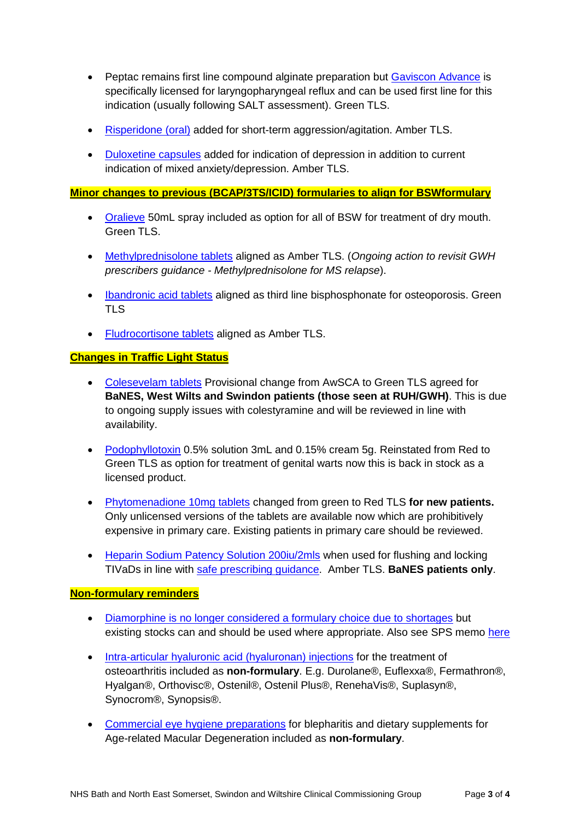- Peptac remains first line compound alginate preparation but [Gaviscon Advance](http://bswformulary.nhs.uk/chaptersSubDetails.asp?FormularySectionID=1&SubSectionRef=01.01.02&SubSectionID=B100&drugmatch=11#11) is specifically licensed for laryngopharyngeal reflux and can be used first line for this indication (usually following SALT assessment). Green TLS.
- [Risperidone \(oral\)](http://bswformulary.nhs.uk/chaptersSubDetails.asp?FormularySectionID=4&SubSectionRef=04.02.01&SubSectionID=B100&drugmatch=1053#1053) added for short-term aggression/agitation. Amber TLS.
- [Duloxetine capsules](http://bswformulary.nhs.uk/chaptersSubDetails.asp?FormularySectionID=4&SubSectionRef=04.03.04&SubSectionID=A100&drugmatch=1127#1127) added for indication of depression in addition to current indication of mixed anxiety/depression. Amber TLS.

#### **Minor changes to previous (BCAP/3TS/ICID) formularies to align for BSWformulary**

- [Oralieve](http://bswformulary.nhs.uk/chaptersSubDetails.asp?FormularySectionID=12&SubSectionRef=12.03.05&SubSectionID=B100&drugmatch=2790#2790) 50mL spray included as option for all of BSW for treatment of dry mouth. Green TLS.
- [Methylprednisolone tablets](http://bswformulary.nhs.uk/chaptersSubDetails.asp?FormularySectionID=6&SubSectionRef=06.03.02&SubSectionID=A100&drugmatch=5185#5185) aligned as Amber TLS. (*Ongoing action to revisit GWH prescribers guidance - Methylprednisolone for MS relapse*).
- [Ibandronic acid tablets](http://bswformulary.nhs.uk/chaptersSubDetails.asp?FormularySectionID=6&SubSectionRef=06.06.02&SubSectionID=B100&drugmatch=3599#3599) aligned as third line bisphosphonate for osteoporosis. Green TLS
- [Fludrocortisone tablets](http://bswformulary.nhs.uk/chaptersSubDetails.asp?FormularySectionID=6&SubSectionRef=06.03.01&SubSectionID=A100&drugmatch=449#449) aligned as Amber TLS.

### **Changes in Traffic Light Status**

- [Colesevelam tablets](http://bswformulary.nhs.uk/chaptersSubDetails.asp?FormularySectionID=1&SubSectionRef=01.09.02&SubSectionID=A100&drugmatch=5213#5213) Provisional change from AwSCA to Green TLS agreed for **BaNES, West Wilts and Swindon patients (those seen at RUH/GWH)**. This is due to ongoing supply issues with colestyramine and will be reviewed in line with availability.
- [Podophyllotoxin](http://bswformulary.nhs.uk/chaptersSubDetails.asp?FormularySectionID=13&SubSectionRef=13.07&SubSectionID=B100&drugmatch=1327#1327) 0.5% solution 3mL and 0.15% cream 5g. Reinstated from Red to Green TLS as option for treatment of genital warts now this is back in stock as a licensed product.
- [Phytomenadione 10mg tablets](http://bswformulary.nhs.uk/chaptersSubDetails.asp?FormularySectionID=9&SubSectionRef=09.06.06&SubSectionID=A100&drugmatch=2343#2343) changed from green to Red TLS **for new patients.**  Only unlicensed versions of the tablets are available now which are prohibitively expensive in primary care. Existing patients in primary care should be reviewed.
- [Heparin Sodium Patency Solution 200iu/2mls](http://bswformulary.nhs.uk/chaptersSubDetails.asp?FormularySectionID=2&SubSectionRef=02.08.01&SubSectionID=F100&drugmatch=859) when used for flushing and locking TIVaDs in line with [safe prescribing guidance.](https://prescribing.bswccg.nhs.uk/?wpdmdl=7936) Amber TLS. **BaNES patients only**.

#### **Non-formulary reminders**

- [Diamorphine is no longer considered a formulary choice due to shortages](http://bswformulary.nhs.uk/chaptersSubDetails.asp?FormularySectionID=4&SubSectionRef=04.07.02&SubSectionID=A100#1514) but existing stocks can and should be used where appropriate. Also see SPS memo [here](https://www.sps.nhs.uk/articles/shortage-of-diamorphine-5-and-10mg/?UNLID=7516476752020820123749)
- [Intra-articular hyaluronic acid \(hyaluronan\) injections](http://bswformulary.nhs.uk/searchresults.asp?SearchVar=hyaluronic&Submit=Search) for the treatment of osteoarthritis included as **non-formulary**. E.g. Durolane®, Euflexxa®, Fermathron®, Hyalgan®, Orthovisc®, Ostenil®, Ostenil Plus®, RenehaVis®, Suplasyn®, Synocrom®, Synopsis®.
- [Commercial eye hygiene preparations](http://bswformulary.nhs.uk/searchresults.asp?SearchVar=blepharitis&Submit=Search) for blepharitis and dietary supplements for Age-related Macular Degeneration included as **non-formulary**.